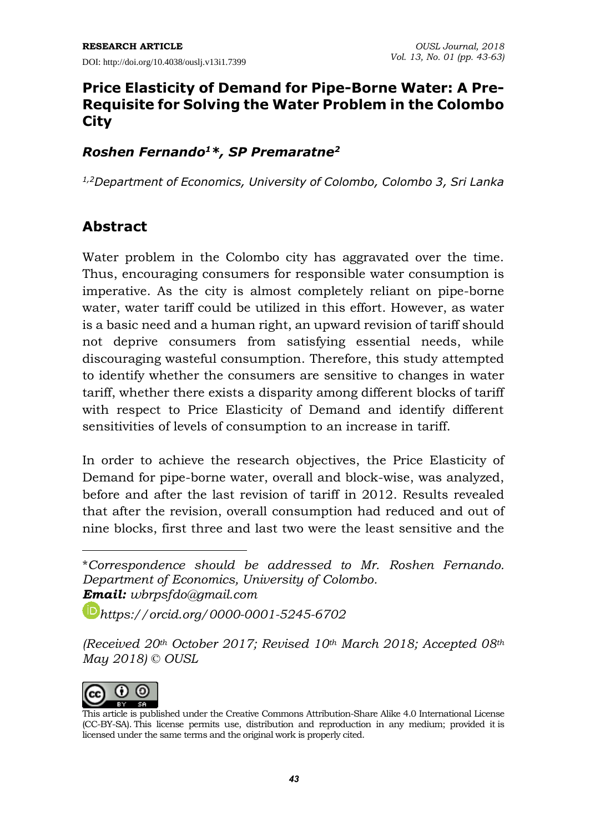# **Price Elasticity of Demand for Pipe-Borne Water: A Pre-Requisite for Solving the Water Problem in the Colombo City**

### *Roshen Fernando<sup>1</sup>\*, SP Premaratne<sup>2</sup>*

*1,2Department of Economics, University of Colombo, Colombo 3, Sri Lanka*

# **Abstract**

Water problem in the Colombo city has aggravated over the time. Thus, encouraging consumers for responsible water consumption is imperative. As the city is almost completely reliant on pipe-borne water, water tariff could be utilized in this effort. However, as water is a basic need and a human right, an upward revision of tariff should not deprive consumers from satisfying essential needs, while discouraging wasteful consumption. Therefore, this study attempted to identify whether the consumers are sensitive to changes in water tariff, whether there exists a disparity among different blocks of tariff with respect to Price Elasticity of Demand and identify different sensitivities of levels of consumption to an increase in tariff.

In order to achieve the research objectives, the Price Elasticity of Demand for pipe-borne water, overall and block-wise, was analyzed, before and after the last revision of tariff in 2012. Results revealed that after the revision, overall consumption had reduced and out of nine blocks, first three and last two were the least sensitive and the

*[https://orcid.org/0000-0001-5245-6702](https://orcid.org/0000-0003-3351-1889)*

*<sup>(</sup>Received 20th October 2017; Revised 10th March 2018; Accepted 08th May 2018) © OUSL*



 $\overline{a}$ 

<sup>\*</sup>*Correspondence should be addressed to Mr. Roshen Fernando. Department of Economics, University of Colombo. Email: wbrpsfdo@gmail.com*

This article is published under the Creative Commons [Attribution-Share](http://creativecommons.org/licenses/by-sa/4.0/) Alike 4.0 International License (CC-BY-SA). This license permits use, distribution and reproduction in any medium; provided it is licensed under the same terms and the original work is properly cited.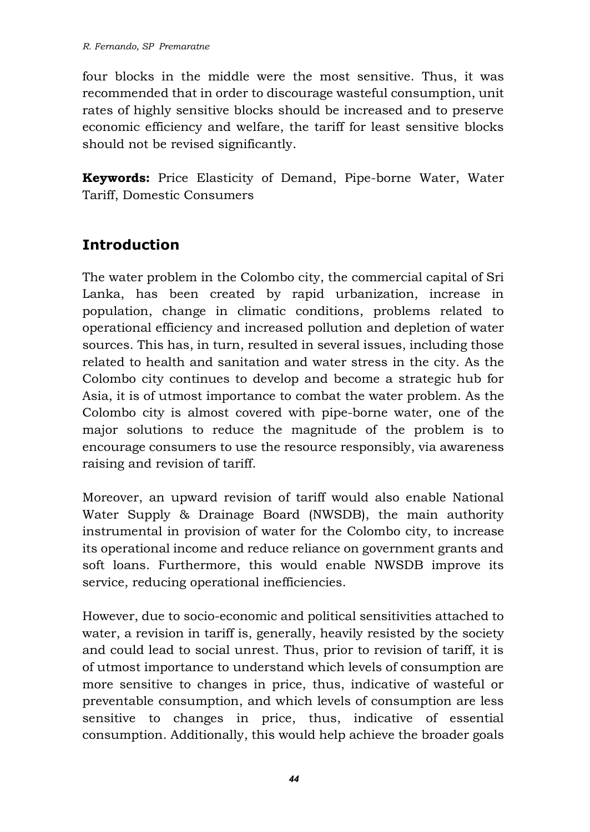four blocks in the middle were the most sensitive. Thus, it was recommended that in order to discourage wasteful consumption, unit rates of highly sensitive blocks should be increased and to preserve economic efficiency and welfare, the tariff for least sensitive blocks should not be revised significantly.

**Keywords:** Price Elasticity of Demand, Pipe-borne Water, Water Tariff, Domestic Consumers

# **Introduction**

The water problem in the Colombo city, the commercial capital of Sri Lanka, has been created by rapid urbanization, increase in population, change in climatic conditions, problems related to operational efficiency and increased pollution and depletion of water sources. This has, in turn, resulted in several issues, including those related to health and sanitation and water stress in the city. As the Colombo city continues to develop and become a strategic hub for Asia, it is of utmost importance to combat the water problem. As the Colombo city is almost covered with pipe-borne water, one of the major solutions to reduce the magnitude of the problem is to encourage consumers to use the resource responsibly, via awareness raising and revision of tariff.

Moreover, an upward revision of tariff would also enable National Water Supply & Drainage Board (NWSDB), the main authority instrumental in provision of water for the Colombo city, to increase its operational income and reduce reliance on government grants and soft loans. Furthermore, this would enable NWSDB improve its service, reducing operational inefficiencies.

However, due to socio-economic and political sensitivities attached to water, a revision in tariff is, generally, heavily resisted by the society and could lead to social unrest. Thus, prior to revision of tariff, it is of utmost importance to understand which levels of consumption are more sensitive to changes in price, thus, indicative of wasteful or preventable consumption, and which levels of consumption are less sensitive to changes in price, thus, indicative of essential consumption. Additionally, this would help achieve the broader goals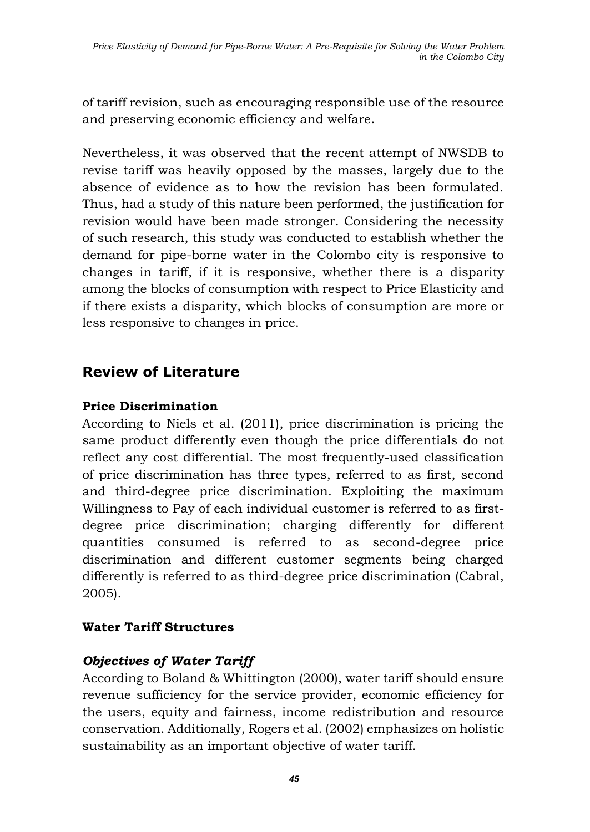of tariff revision, such as encouraging responsible use of the resource and preserving economic efficiency and welfare.

Nevertheless, it was observed that the recent attempt of NWSDB to revise tariff was heavily opposed by the masses, largely due to the absence of evidence as to how the revision has been formulated. Thus, had a study of this nature been performed, the justification for revision would have been made stronger. Considering the necessity of such research, this study was conducted to establish whether the demand for pipe-borne water in the Colombo city is responsive to changes in tariff, if it is responsive, whether there is a disparity among the blocks of consumption with respect to Price Elasticity and if there exists a disparity, which blocks of consumption are more or less responsive to changes in price.

# **Review of Literature**

### **Price Discrimination**

According to Niels et al. (2011), price discrimination is pricing the same product differently even though the price differentials do not reflect any cost differential. The most frequently-used classification of price discrimination has three types, referred to as first, second and third-degree price discrimination. Exploiting the maximum Willingness to Pay of each individual customer is referred to as firstdegree price discrimination; charging differently for different quantities consumed is referred to as second-degree price discrimination and different customer segments being charged differently is referred to as third-degree price discrimination (Cabral, 2005).

#### **Water Tariff Structures**

### *Objectives of Water Tariff*

According to Boland & Whittington (2000), water tariff should ensure revenue sufficiency for the service provider, economic efficiency for the users, equity and fairness, income redistribution and resource conservation. Additionally, Rogers et al. (2002) emphasizes on holistic sustainability as an important objective of water tariff.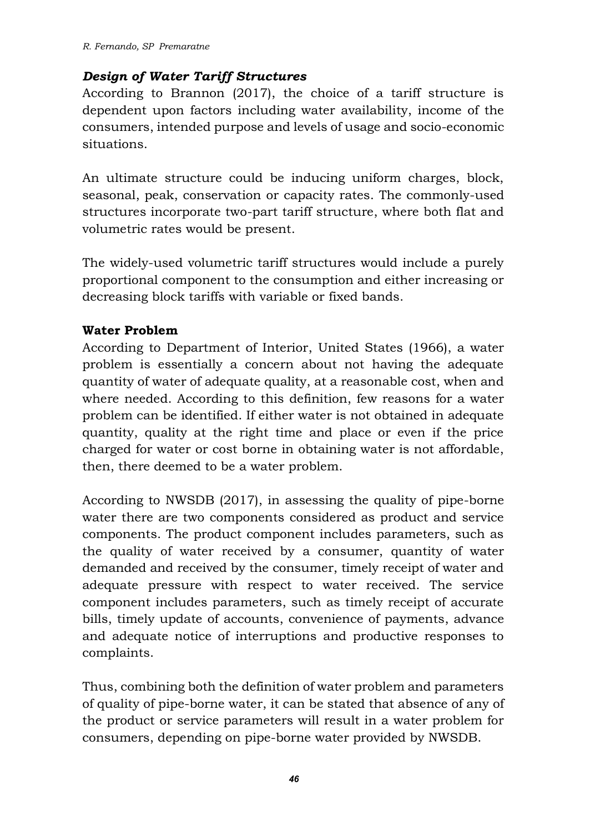#### *Design of Water Tariff Structures*

According to Brannon (2017), the choice of a tariff structure is dependent upon factors including water availability, income of the consumers, intended purpose and levels of usage and socio-economic situations.

An ultimate structure could be inducing uniform charges, block, seasonal, peak, conservation or capacity rates. The commonly-used structures incorporate two-part tariff structure, where both flat and volumetric rates would be present.

The widely-used volumetric tariff structures would include a purely proportional component to the consumption and either increasing or decreasing block tariffs with variable or fixed bands.

### **Water Problem**

According to Department of Interior, United States (1966), a water problem is essentially a concern about not having the adequate quantity of water of adequate quality, at a reasonable cost, when and where needed. According to this definition, few reasons for a water problem can be identified. If either water is not obtained in adequate quantity, quality at the right time and place or even if the price charged for water or cost borne in obtaining water is not affordable, then, there deemed to be a water problem.

According to NWSDB (2017), in assessing the quality of pipe-borne water there are two components considered as product and service components. The product component includes parameters, such as the quality of water received by a consumer, quantity of water demanded and received by the consumer, timely receipt of water and adequate pressure with respect to water received. The service component includes parameters, such as timely receipt of accurate bills, timely update of accounts, convenience of payments, advance and adequate notice of interruptions and productive responses to complaints.

Thus, combining both the definition of water problem and parameters of quality of pipe-borne water, it can be stated that absence of any of the product or service parameters will result in a water problem for consumers, depending on pipe-borne water provided by NWSDB.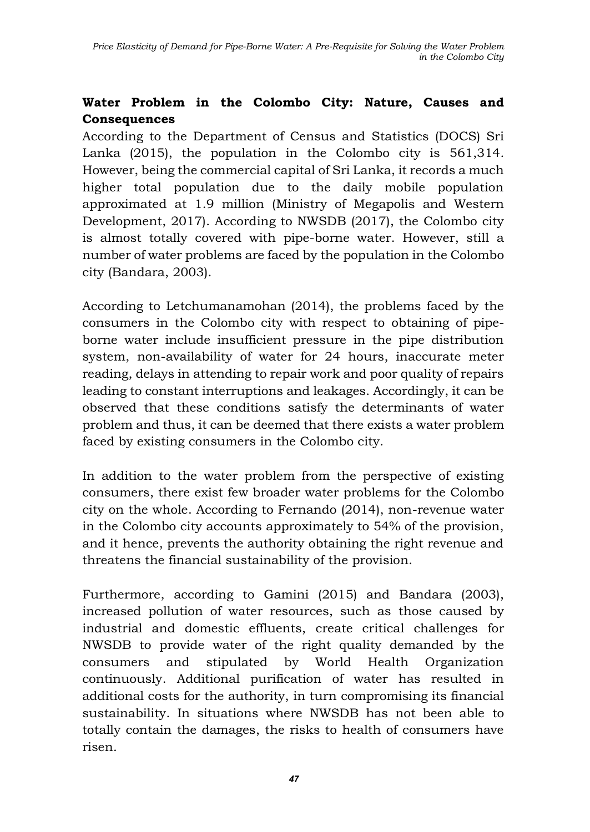# **Water Problem in the Colombo City: Nature, Causes and Consequences**

According to the Department of Census and Statistics (DOCS) Sri Lanka (2015), the population in the Colombo city is 561,314. However, being the commercial capital of Sri Lanka, it records a much higher total population due to the daily mobile population approximated at 1.9 million (Ministry of Megapolis and Western Development, 2017). According to NWSDB (2017), the Colombo city is almost totally covered with pipe-borne water. However, still a number of water problems are faced by the population in the Colombo city (Bandara, 2003).

According to Letchumanamohan (2014), the problems faced by the consumers in the Colombo city with respect to obtaining of pipeborne water include insufficient pressure in the pipe distribution system, non-availability of water for 24 hours, inaccurate meter reading, delays in attending to repair work and poor quality of repairs leading to constant interruptions and leakages. Accordingly, it can be observed that these conditions satisfy the determinants of water problem and thus, it can be deemed that there exists a water problem faced by existing consumers in the Colombo city.

In addition to the water problem from the perspective of existing consumers, there exist few broader water problems for the Colombo city on the whole. According to Fernando (2014), non-revenue water in the Colombo city accounts approximately to 54% of the provision, and it hence, prevents the authority obtaining the right revenue and threatens the financial sustainability of the provision.

Furthermore, according to Gamini (2015) and Bandara (2003), increased pollution of water resources, such as those caused by industrial and domestic effluents, create critical challenges for NWSDB to provide water of the right quality demanded by the consumers and stipulated by World Health Organization continuously. Additional purification of water has resulted in additional costs for the authority, in turn compromising its financial sustainability. In situations where NWSDB has not been able to totally contain the damages, the risks to health of consumers have risen.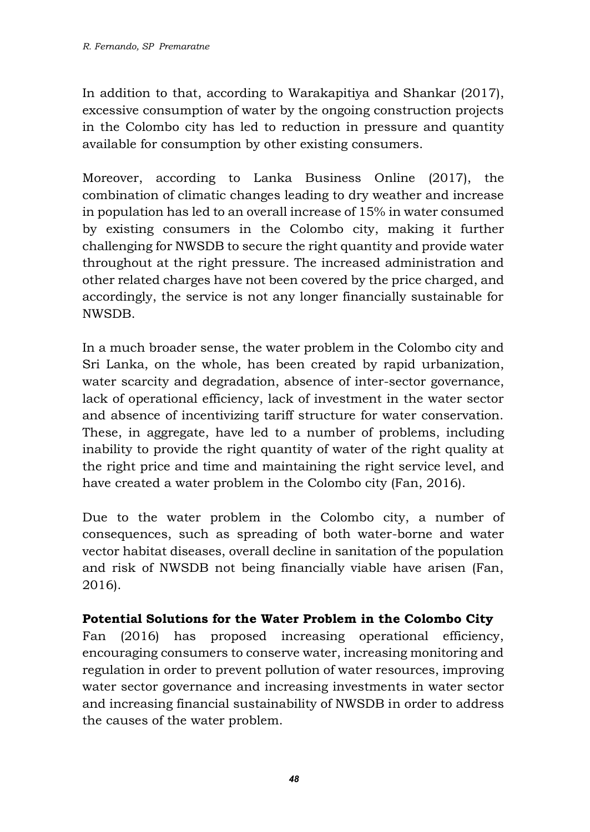In addition to that, according to Warakapitiya and Shankar (2017), excessive consumption of water by the ongoing construction projects in the Colombo city has led to reduction in pressure and quantity available for consumption by other existing consumers.

Moreover, according to Lanka Business Online (2017), the combination of climatic changes leading to dry weather and increase in population has led to an overall increase of 15% in water consumed by existing consumers in the Colombo city, making it further challenging for NWSDB to secure the right quantity and provide water throughout at the right pressure. The increased administration and other related charges have not been covered by the price charged, and accordingly, the service is not any longer financially sustainable for NWSDB.

In a much broader sense, the water problem in the Colombo city and Sri Lanka, on the whole, has been created by rapid urbanization, water scarcity and degradation, absence of inter-sector governance, lack of operational efficiency, lack of investment in the water sector and absence of incentivizing tariff structure for water conservation. These, in aggregate, have led to a number of problems, including inability to provide the right quantity of water of the right quality at the right price and time and maintaining the right service level, and have created a water problem in the Colombo city (Fan, 2016).

Due to the water problem in the Colombo city, a number of consequences, such as spreading of both water-borne and water vector habitat diseases, overall decline in sanitation of the population and risk of NWSDB not being financially viable have arisen (Fan, 2016).

#### **Potential Solutions for the Water Problem in the Colombo City**

Fan (2016) has proposed increasing operational efficiency, encouraging consumers to conserve water, increasing monitoring and regulation in order to prevent pollution of water resources, improving water sector governance and increasing investments in water sector and increasing financial sustainability of NWSDB in order to address the causes of the water problem.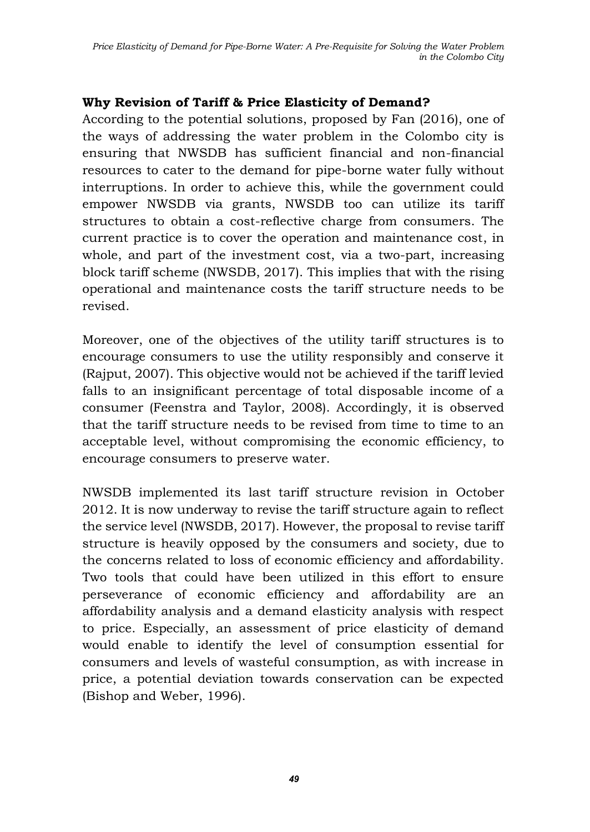#### **Why Revision of Tariff & Price Elasticity of Demand?**

According to the potential solutions, proposed by Fan (2016), one of the ways of addressing the water problem in the Colombo city is ensuring that NWSDB has sufficient financial and non-financial resources to cater to the demand for pipe-borne water fully without interruptions. In order to achieve this, while the government could empower NWSDB via grants, NWSDB too can utilize its tariff structures to obtain a cost-reflective charge from consumers. The current practice is to cover the operation and maintenance cost, in whole, and part of the investment cost, via a two-part, increasing block tariff scheme (NWSDB, 2017). This implies that with the rising operational and maintenance costs the tariff structure needs to be revised.

Moreover, one of the objectives of the utility tariff structures is to encourage consumers to use the utility responsibly and conserve it (Rajput, 2007). This objective would not be achieved if the tariff levied falls to an insignificant percentage of total disposable income of a consumer (Feenstra and Taylor, 2008). Accordingly, it is observed that the tariff structure needs to be revised from time to time to an acceptable level, without compromising the economic efficiency, to encourage consumers to preserve water.

NWSDB implemented its last tariff structure revision in October 2012. It is now underway to revise the tariff structure again to reflect the service level (NWSDB, 2017). However, the proposal to revise tariff structure is heavily opposed by the consumers and society, due to the concerns related to loss of economic efficiency and affordability. Two tools that could have been utilized in this effort to ensure perseverance of economic efficiency and affordability are an affordability analysis and a demand elasticity analysis with respect to price. Especially, an assessment of price elasticity of demand would enable to identify the level of consumption essential for consumers and levels of wasteful consumption, as with increase in price, a potential deviation towards conservation can be expected (Bishop and Weber, 1996).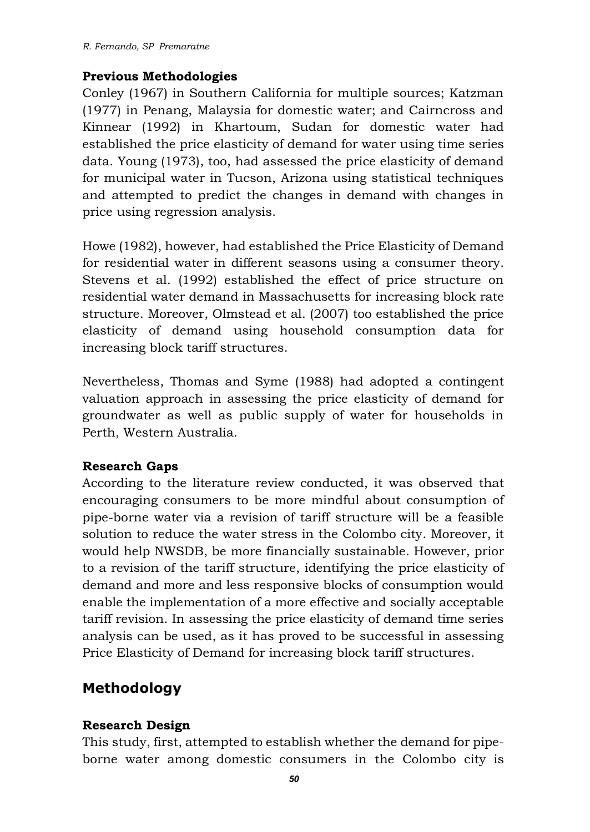#### **Previous Methodologies**

Conley (1967) in Southern California for multiple sources; Katzman (1977) in Penang, Malaysia for domestic water; and Cairncross and Kinnear (1992) in Khartoum, Sudan for domestic water had established the price elasticity of demand for water using time series data. Young (1973), too, had assessed the price elasticity of demand for municipal water in Tucson, Arizona using statistical techniques and attempted to predict the changes in demand with changes in price using regression analysis.

Howe (1982), however, had established the Price Elasticity of Demand for residential water in different seasons using a consumer theory. Stevens et al. (1992) established the effect of price structure on residential water demand in Massachusetts for increasing block rate structure. Moreover, Olmstead et al. (2007) too established the price elasticity of demand using household consumption data for increasing block tariff structures.

Nevertheless, Thomas and Syme (1988) had adopted a contingent valuation approach in assessing the price elasticity of demand for groundwater as well as public supply of water for households in Perth, Western Australia.

#### **Research Gaps**

According to the literature review conducted, it was observed that encouraging consumers to be more mindful about consumption of pipe-borne water via a revision of tariff structure will be a feasible solution to reduce the water stress in the Colombo city. Moreover, it would help NWSDB, be more financially sustainable. However, prior to a revision of the tariff structure, identifying the price elasticity of demand and more and less responsive blocks of consumption would enable the implementation of a more effective and socially acceptable tariff revision. In assessing the price elasticity of demand time series analysis can be used, as it has proved to be successful in assessing Price Elasticity of Demand for increasing block tariff structures.

# **Methodology**

#### **Research Design**

This study, first, attempted to establish whether the demand for pipeborne water among domestic consumers in the Colombo city is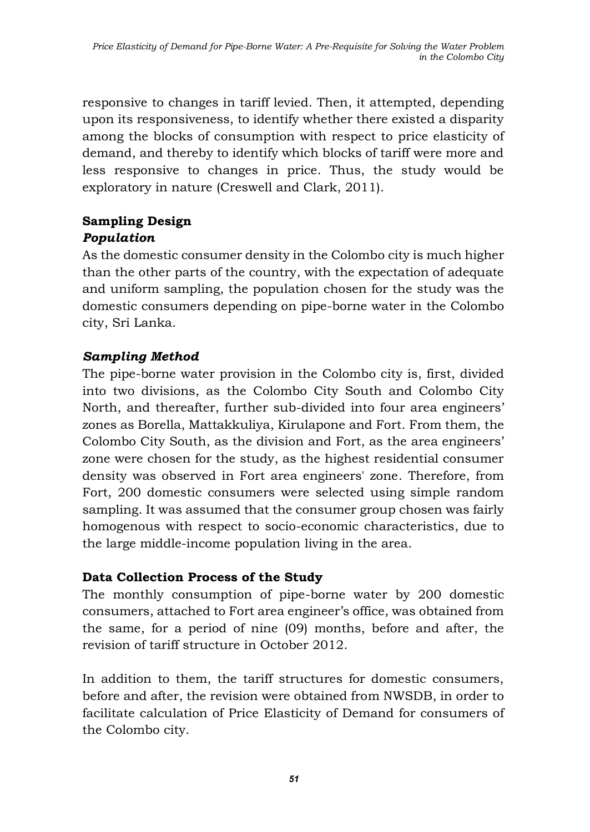responsive to changes in tariff levied. Then, it attempted, depending upon its responsiveness, to identify whether there existed a disparity among the blocks of consumption with respect to price elasticity of demand, and thereby to identify which blocks of tariff were more and less responsive to changes in price. Thus, the study would be exploratory in nature (Creswell and Clark, 2011).

# **Sampling Design** *Population*

As the domestic consumer density in the Colombo city is much higher than the other parts of the country, with the expectation of adequate and uniform sampling, the population chosen for the study was the domestic consumers depending on pipe-borne water in the Colombo city, Sri Lanka.

# *Sampling Method*

The pipe-borne water provision in the Colombo city is, first, divided into two divisions, as the Colombo City South and Colombo City North, and thereafter, further sub-divided into four area engineers' zones as Borella, Mattakkuliya, Kirulapone and Fort. From them, the Colombo City South, as the division and Fort, as the area engineers' zone were chosen for the study, as the highest residential consumer density was observed in Fort area engineers' zone. Therefore, from Fort, 200 domestic consumers were selected using simple random sampling. It was assumed that the consumer group chosen was fairly homogenous with respect to socio-economic characteristics, due to the large middle-income population living in the area.

### **Data Collection Process of the Study**

The monthly consumption of pipe-borne water by 200 domestic consumers, attached to Fort area engineer's office, was obtained from the same, for a period of nine (09) months, before and after, the revision of tariff structure in October 2012.

In addition to them, the tariff structures for domestic consumers, before and after, the revision were obtained from NWSDB, in order to facilitate calculation of Price Elasticity of Demand for consumers of the Colombo city.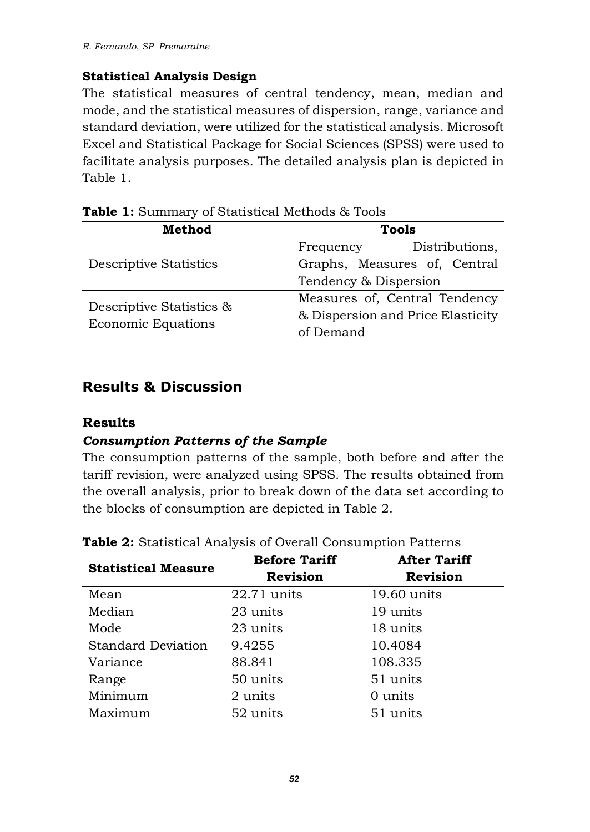#### **Statistical Analysis Design**

The statistical measures of central tendency, mean, median and mode, and the statistical measures of dispersion, range, variance and standard deviation, were utilized for the statistical analysis. Microsoft Excel and Statistical Package for Social Sciences (SPSS) were used to facilitate analysis purposes. The detailed analysis plan is depicted in Table 1.

| <b>Method</b>                                         | Tools                             |  |  |
|-------------------------------------------------------|-----------------------------------|--|--|
|                                                       | Distributions,<br>Frequency       |  |  |
| <b>Descriptive Statistics</b>                         | Graphs, Measures of, Central      |  |  |
|                                                       | Tendency & Dispersion             |  |  |
|                                                       | Measures of, Central Tendency     |  |  |
| Descriptive Statistics &<br><b>Economic Equations</b> | & Dispersion and Price Elasticity |  |  |
|                                                       | of Demand                         |  |  |

**Table 1:** Summary of Statistical Methods & Tools

# **Results & Discussion**

#### **Results**

### *Consumption Patterns of the Sample*

The consumption patterns of the sample, both before and after the tariff revision, were analyzed using SPSS. The results obtained from the overall analysis, prior to break down of the data set according to the blocks of consumption are depicted in Table 2.

| <b>Statistical Measure</b> | <b>Before Tariff</b> | <b>After Tariff</b> |
|----------------------------|----------------------|---------------------|
|                            | <b>Revision</b>      | Revision            |
| Mean                       | $22.71$ units        | $19.60$ units       |
| Median                     | 23 units             | 19 units            |
| Mode                       | 23 units             | 18 units            |
| <b>Standard Deviation</b>  | 9.4255               | 10.4084             |
| Variance                   | 88.841               | 108.335             |
| Range                      | 50 units             | 51 units            |
| Minimum                    | 2 units              | 0 units             |
| Maximum                    | 52 units             | 51 units            |

**Table 2:** Statistical Analysis of Overall Consumption Patterns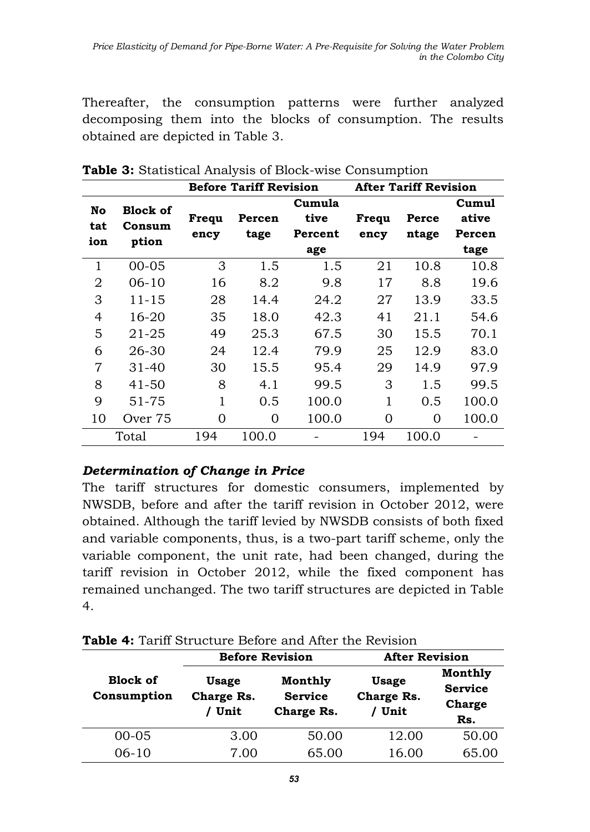Thereafter, the consumption patterns were further analyzed decomposing them into the blocks of consumption. The results obtained are depicted in Table 3.

|                |           | <b>Before Tariff Revision</b> |        |         | <b>After Tariff Revision</b> |       |        |
|----------------|-----------|-------------------------------|--------|---------|------------------------------|-------|--------|
| No             | Block of  |                               |        | Cumula  |                              |       | Cumul  |
| tat            | Consum    | Frequ                         | Percen | tive    | Frequ                        | Perce | ative  |
| ion            | ption     | ency                          | tage   | Percent | ency                         | ntage | Percen |
|                |           |                               |        | age     |                              |       | tage   |
| 1              | $00 - 05$ | 3                             | 1.5    | 1.5     | 21                           | 10.8  | 10.8   |
| $\overline{2}$ | $06-10$   | 16                            | 8.2    | 9.8     | 17                           | 8.8   | 19.6   |
| 3              | $11 - 15$ | 28                            | 14.4   | 24.2    | 27                           | 13.9  | 33.5   |
| 4              | 16-20     | 35                            | 18.0   | 42.3    | 41                           | 21.1  | 54.6   |
| 5              | $21 - 25$ | 49                            | 25.3   | 67.5    | 30                           | 15.5  | 70.1   |
| 6              | 26-30     | 24                            | 12.4   | 79.9    | 25                           | 12.9  | 83.0   |
| 7              | $31 - 40$ | 30                            | 15.5   | 95.4    | 29                           | 14.9  | 97.9   |
| 8              | $41 - 50$ | 8                             | 4.1    | 99.5    | 3                            | 1.5   | 99.5   |
| 9              | $51 - 75$ | 1                             | 0.5    | 100.0   | 1                            | 0.5   | 100.0  |
| 10             | Over 75   | 0                             | 0      | 100.0   | 0                            | 0     | 100.0  |
|                | Total     | 194                           | 100.0  |         | 194                          | 100.0 |        |

**Table 3:** Statistical Analysis of Block-wise Consumption

#### *Determination of Change in Price*

The tariff structures for domestic consumers, implemented by NWSDB, before and after the tariff revision in October 2012, were obtained. Although the tariff levied by NWSDB consists of both fixed and variable components, thus, is a two-part tariff scheme, only the variable component, the unit rate, had been changed, during the tariff revision in October 2012, while the fixed component has remained unchanged. The two tariff structures are depicted in Table 4.

| Table 4: Tariff Structure Before and After the Revision |  |  |  |
|---------------------------------------------------------|--|--|--|
|---------------------------------------------------------|--|--|--|

|                                |                                      | <b>Before Revision</b>                  | <b>After Revision</b>              |                                                   |
|--------------------------------|--------------------------------------|-----------------------------------------|------------------------------------|---------------------------------------------------|
| <b>Block of</b><br>Consumption | <b>Usage</b><br>Charge Rs.<br>/ Unit | Monthly<br><b>Service</b><br>Charge Rs. | <b>Usage</b><br>Charge Rs.<br>Unit | Monthly<br><b>Service</b><br><b>Charge</b><br>Rs. |
| $00 - 05$                      | 3.00                                 | 50.00                                   | 12.00                              | 50.00                                             |
| $06-10$                        | 7.00                                 | 65.00                                   | 16.00                              | 65.00                                             |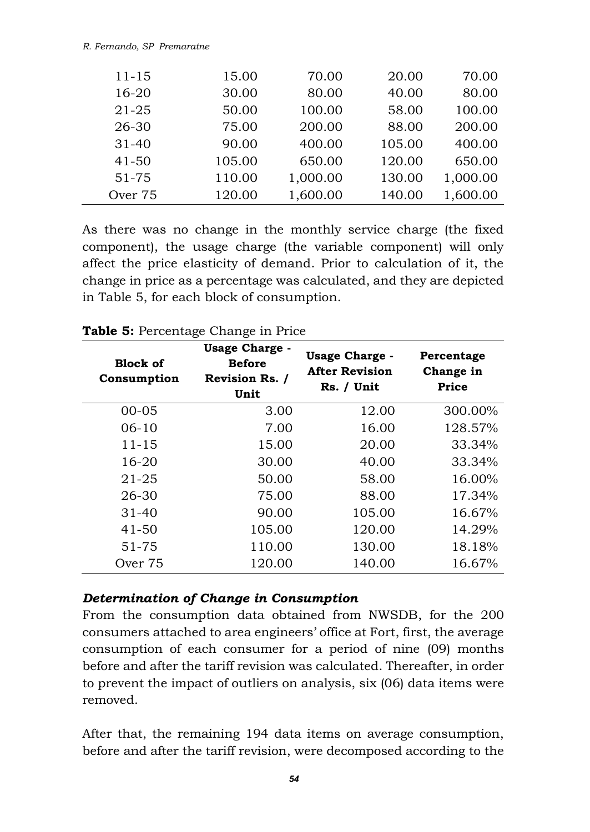#### *R. Fernando, SP Premaratne*

| $11 - 15$ | 15.00  | 70.00    | 20.00  | 70.00    |
|-----------|--------|----------|--------|----------|
| $16 - 20$ | 30.00  | 80.00    | 40.00  | 80.00    |
| 21-25     | 50.00  | 100.00   | 58.00  | 100.00   |
| 26-30     | 75.00  | 200.00   | 88.00  | 200.00   |
| $31 - 40$ | 90.00  | 400.00   | 105.00 | 400.00   |
| $41 - 50$ | 105.00 | 650.00   | 120.00 | 650.00   |
| $51 - 75$ | 110.00 | 1,000.00 | 130.00 | 1,000.00 |
| Over 75   | 120.00 | 1,600.00 | 140.00 | 1,600.00 |

As there was no change in the monthly service charge (the fixed component), the usage charge (the variable component) will only affect the price elasticity of demand. Prior to calculation of it, the change in price as a percentage was calculated, and they are depicted in Table 5, for each block of consumption.

| <b>Block of</b><br>Consumption | <b>Usage Charge -</b><br>Before<br><b>Revision Rs. /</b><br>Unit | <b>Usage Charge -</b><br><b>After Revision</b><br>Rs. / Unit | Percentage<br>Change in<br>Price |
|--------------------------------|------------------------------------------------------------------|--------------------------------------------------------------|----------------------------------|
| $00 - 05$                      | 3.00                                                             | 12.00                                                        | 300.00%                          |
| $06-10$                        | 7.00                                                             | 16.00                                                        | 128.57%                          |
| $11 - 15$                      | 15.00                                                            | 20.00                                                        | 33.34%                           |
| $16 - 20$                      | 30.00                                                            | 40.00                                                        | 33.34%                           |
| $21 - 25$                      | 50.00                                                            | 58.00                                                        | 16.00%                           |
| 26-30                          | 75.00                                                            | 88.00                                                        | 17.34%                           |
| $31 - 40$                      | 90.00                                                            | 105.00                                                       | 16.67%                           |
| $41 - 50$                      | 105.00                                                           | 120.00                                                       | 14.29%                           |
| 51-75                          | 110.00                                                           | 130.00                                                       | 18.18%                           |
| Over 75                        | 120.00                                                           | 140.00                                                       | 16.67%                           |

#### **Table 5:** Percentage Change in Price

#### *Determination of Change in Consumption*

From the consumption data obtained from NWSDB, for the 200 consumers attached to area engineers' office at Fort, first, the average consumption of each consumer for a period of nine (09) months before and after the tariff revision was calculated. Thereafter, in order to prevent the impact of outliers on analysis, six (06) data items were removed.

After that, the remaining 194 data items on average consumption, before and after the tariff revision, were decomposed according to the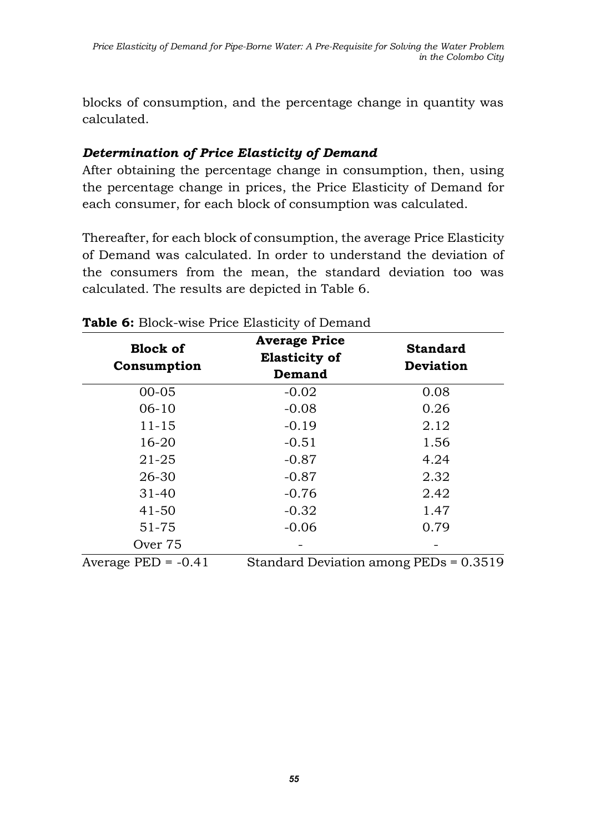blocks of consumption, and the percentage change in quantity was calculated.

### *Determination of Price Elasticity of Demand*

After obtaining the percentage change in consumption, then, using the percentage change in prices, the Price Elasticity of Demand for each consumer, for each block of consumption was calculated.

Thereafter, for each block of consumption, the average Price Elasticity of Demand was calculated. In order to understand the deviation of the consumers from the mean, the standard deviation too was calculated. The results are depicted in Table 6.

| <b>Block of</b><br>Consumption  | <b>Average Price</b><br><b>Elasticity of</b><br>Demand | <b>Standard</b><br><b>Deviation</b>         |
|---------------------------------|--------------------------------------------------------|---------------------------------------------|
| $00 - 05$                       | $-0.02$                                                | 0.08                                        |
| $06-10$                         | $-0.08$                                                | 0.26                                        |
| $11 - 15$                       | $-0.19$                                                | 2.12                                        |
| 16-20                           | $-0.51$                                                | 1.56                                        |
| 21-25                           | $-0.87$                                                | 4.24                                        |
| 26-30                           | $-0.87$                                                | 2.32                                        |
| $31 - 40$                       | $-0.76$                                                | 2.42                                        |
| $41 - 50$                       | $-0.32$                                                | 1.47                                        |
| 51-75                           | $-0.06$                                                | 0.79                                        |
| Over 75                         |                                                        |                                             |
| $\Lambda$ transace DFD $-$ 0.41 |                                                        | $C$ tenderd Deviction emeng $DFDg = 0.2510$ |

#### **Table 6:** Block-wise Price Elasticity of Demand

Average PED = -0.41 Standard Deviation among PEDs = 0.3519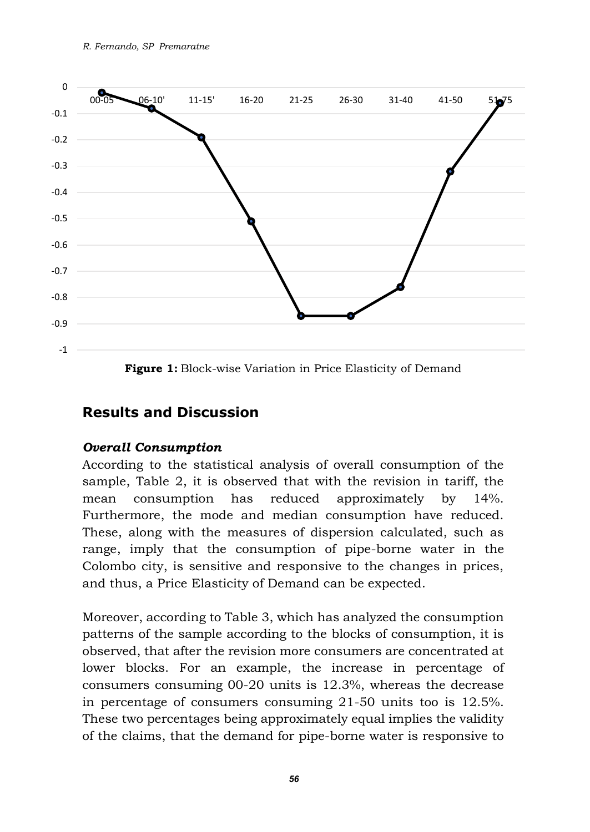

**Figure 1:** Block-wise Variation in Price Elasticity of Demand

# **Results and Discussion**

#### *Overall Consumption*

According to the statistical analysis of overall consumption of the sample, Table 2, it is observed that with the revision in tariff, the mean consumption has reduced approximately by 14%. Furthermore, the mode and median consumption have reduced. These, along with the measures of dispersion calculated, such as range, imply that the consumption of pipe-borne water in the Colombo city, is sensitive and responsive to the changes in prices, and thus, a Price Elasticity of Demand can be expected.

Moreover, according to Table 3, which has analyzed the consumption patterns of the sample according to the blocks of consumption, it is observed, that after the revision more consumers are concentrated at lower blocks. For an example, the increase in percentage of consumers consuming 00-20 units is 12.3%, whereas the decrease in percentage of consumers consuming 21-50 units too is 12.5%. These two percentages being approximately equal implies the validity of the claims, that the demand for pipe-borne water is responsive to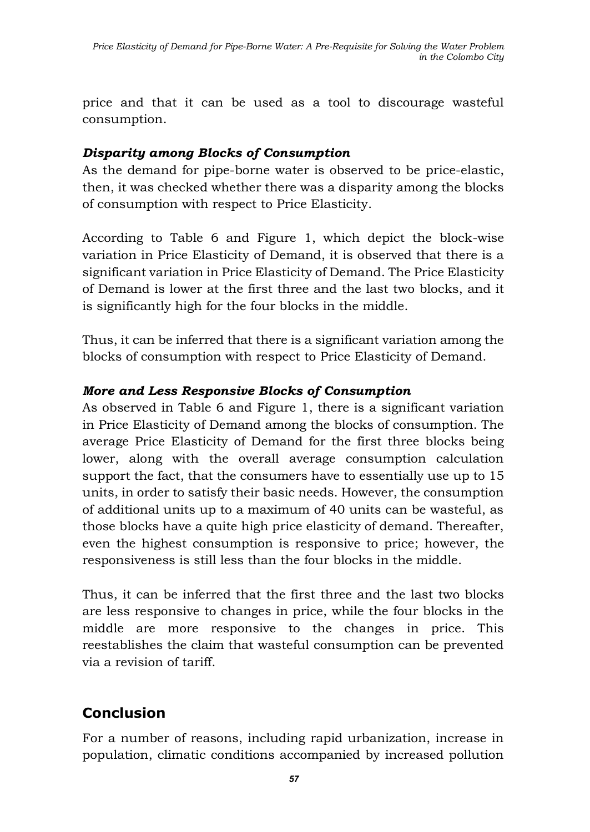price and that it can be used as a tool to discourage wasteful consumption.

### *Disparity among Blocks of Consumption*

As the demand for pipe-borne water is observed to be price-elastic, then, it was checked whether there was a disparity among the blocks of consumption with respect to Price Elasticity.

According to Table 6 and Figure 1, which depict the block-wise variation in Price Elasticity of Demand, it is observed that there is a significant variation in Price Elasticity of Demand. The Price Elasticity of Demand is lower at the first three and the last two blocks, and it is significantly high for the four blocks in the middle.

Thus, it can be inferred that there is a significant variation among the blocks of consumption with respect to Price Elasticity of Demand.

### *More and Less Responsive Blocks of Consumption*

As observed in Table 6 and Figure 1, there is a significant variation in Price Elasticity of Demand among the blocks of consumption. The average Price Elasticity of Demand for the first three blocks being lower, along with the overall average consumption calculation support the fact, that the consumers have to essentially use up to 15 units, in order to satisfy their basic needs. However, the consumption of additional units up to a maximum of 40 units can be wasteful, as those blocks have a quite high price elasticity of demand. Thereafter, even the highest consumption is responsive to price; however, the responsiveness is still less than the four blocks in the middle.

Thus, it can be inferred that the first three and the last two blocks are less responsive to changes in price, while the four blocks in the middle are more responsive to the changes in price. This reestablishes the claim that wasteful consumption can be prevented via a revision of tariff.

# **Conclusion**

For a number of reasons, including rapid urbanization, increase in population, climatic conditions accompanied by increased pollution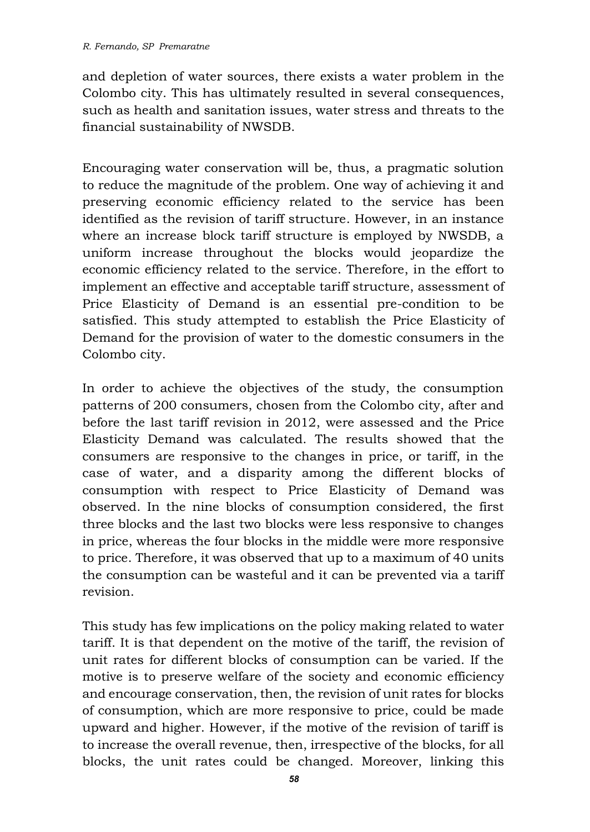and depletion of water sources, there exists a water problem in the Colombo city. This has ultimately resulted in several consequences, such as health and sanitation issues, water stress and threats to the financial sustainability of NWSDB.

Encouraging water conservation will be, thus, a pragmatic solution to reduce the magnitude of the problem. One way of achieving it and preserving economic efficiency related to the service has been identified as the revision of tariff structure. However, in an instance where an increase block tariff structure is employed by NWSDB, a uniform increase throughout the blocks would jeopardize the economic efficiency related to the service. Therefore, in the effort to implement an effective and acceptable tariff structure, assessment of Price Elasticity of Demand is an essential pre-condition to be satisfied. This study attempted to establish the Price Elasticity of Demand for the provision of water to the domestic consumers in the Colombo city.

In order to achieve the objectives of the study, the consumption patterns of 200 consumers, chosen from the Colombo city, after and before the last tariff revision in 2012, were assessed and the Price Elasticity Demand was calculated. The results showed that the consumers are responsive to the changes in price, or tariff, in the case of water, and a disparity among the different blocks of consumption with respect to Price Elasticity of Demand was observed. In the nine blocks of consumption considered, the first three blocks and the last two blocks were less responsive to changes in price, whereas the four blocks in the middle were more responsive to price. Therefore, it was observed that up to a maximum of 40 units the consumption can be wasteful and it can be prevented via a tariff revision.

This study has few implications on the policy making related to water tariff. It is that dependent on the motive of the tariff, the revision of unit rates for different blocks of consumption can be varied. If the motive is to preserve welfare of the society and economic efficiency and encourage conservation, then, the revision of unit rates for blocks of consumption, which are more responsive to price, could be made upward and higher. However, if the motive of the revision of tariff is to increase the overall revenue, then, irrespective of the blocks, for all blocks, the unit rates could be changed. Moreover, linking this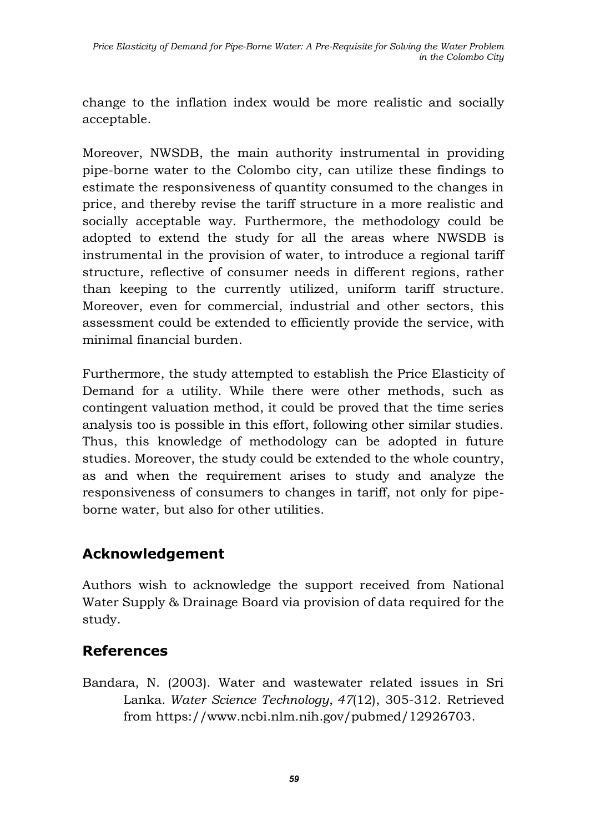change to the inflation index would be more realistic and socially acceptable.

Moreover, NWSDB, the main authority instrumental in providing pipe-borne water to the Colombo city, can utilize these findings to estimate the responsiveness of quantity consumed to the changes in price, and thereby revise the tariff structure in a more realistic and socially acceptable way. Furthermore, the methodology could be adopted to extend the study for all the areas where NWSDB is instrumental in the provision of water, to introduce a regional tariff structure, reflective of consumer needs in different regions, rather than keeping to the currently utilized, uniform tariff structure. Moreover, even for commercial, industrial and other sectors, this assessment could be extended to efficiently provide the service, with minimal financial burden.

Furthermore, the study attempted to establish the Price Elasticity of Demand for a utility. While there were other methods, such as contingent valuation method, it could be proved that the time series analysis too is possible in this effort, following other similar studies. Thus, this knowledge of methodology can be adopted in future studies. Moreover, the study could be extended to the whole country, as and when the requirement arises to study and analyze the responsiveness of consumers to changes in tariff, not only for pipeborne water, but also for other utilities.

# **Acknowledgement**

Authors wish to acknowledge the support received from National Water Supply & Drainage Board via provision of data required for the study.

# **References**

Bandara, N. (2003). Water and wastewater related issues in Sri Lanka. *Water Science Technology*, *47*(12), 305-312. Retrieved from https://www.ncbi.nlm.nih.gov/pubmed/12926703.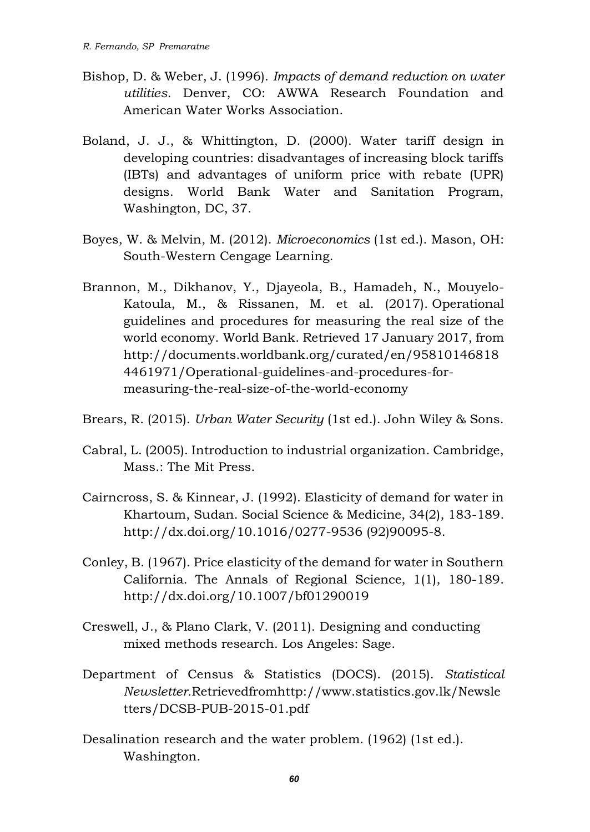- Bishop, D. & Weber, J. (1996). *Impacts of demand reduction on water utilities*. Denver, CO: AWWA Research Foundation and American Water Works Association.
- Boland, J. J., & Whittington, D. (2000). Water tariff design in developing countries: disadvantages of increasing block tariffs (IBTs) and advantages of uniform price with rebate (UPR) designs. World Bank Water and Sanitation Program, Washington, DC, 37.
- Boyes, W. & Melvin, M. (2012). *Microeconomics* (1st ed.). Mason, OH: South-Western Cengage Learning.
- Brannon, M., Dikhanov, Y., Djayeola, B., Hamadeh, N., Mouyelo-Katoula, M., & Rissanen, M. et al. (2017). Operational guidelines and procedures for measuring the real size of the world economy. World Bank. Retrieved 17 January 2017, from http://documents.worldbank.org/curated/en/95810146818 4461971/Operational-guidelines-and-procedures-formeasuring-the-real-size-of-the-world-economy
- Brears, R. (2015). *Urban Water Security* (1st ed.). John Wiley & Sons.
- Cabral, L. (2005). Introduction to industrial organization. Cambridge, Mass.: The Mit Press.
- Cairncross, S. & Kinnear, J. (1992). Elasticity of demand for water in Khartoum, Sudan. Social Science & Medicine, 34(2), 183-189. http://dx.doi.org/10.1016/0277-9536 (92)90095-8.
- Conley, B. (1967). Price elasticity of the demand for water in Southern California. The Annals of Regional Science, 1(1), 180-189. http://dx.doi.org/10.1007/bf01290019
- Creswell, J., & Plano Clark, V. (2011). Designing and conducting mixed methods research. Los Angeles: Sage.
- Department of Census & Statistics (DOCS). (2015). *Statistical Newsletter.*Retrievedfromhttp://www.statistics.gov.lk/Newsle tters/DCSB-PUB-2015-01.pdf
- Desalination research and the water problem. (1962) (1st ed.). Washington.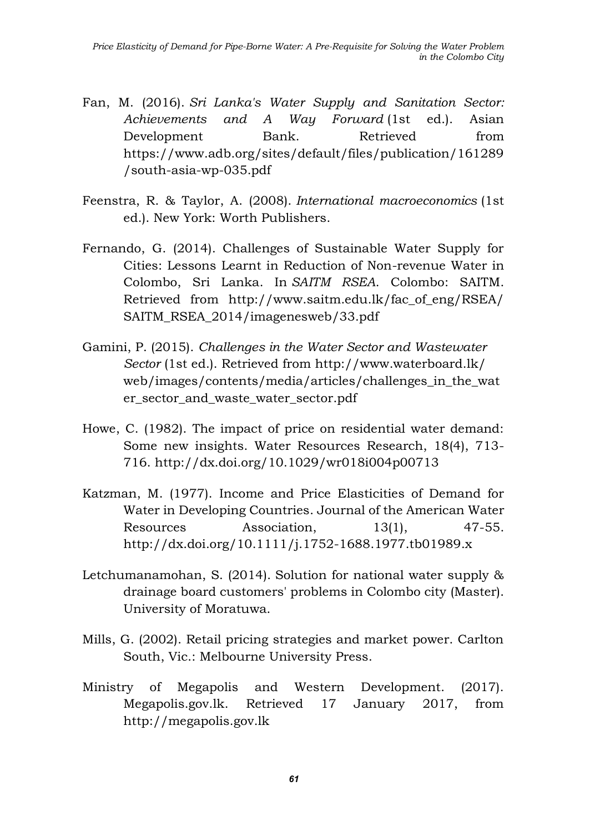- Fan, M. (2016). *Sri Lanka's Water Supply and Sanitation Sector: Achievements and A Way Forward* (1st ed.). Asian Development Bank. Retrieved from https://www.adb.org/sites/default/files/publication/161289 /south-asia-wp-035.pdf
- Feenstra, R. & Taylor, A. (2008). *International macroeconomics* (1st ed.). New York: Worth Publishers.
- Fernando, G. (2014). Challenges of Sustainable Water Supply for Cities: Lessons Learnt in Reduction of Non-revenue Water in Colombo, Sri Lanka. In *SAITM RSEA*. Colombo: SAITM. Retrieved from [http://www.saitm.edu.lk/fac\\_of\\_eng/RSEA/](http://www.saitm.edu.lk/fac_of_eng/RSEA/) SAITM\_RSEA\_2014/imagenesweb/33.pdf
- Gamini, P. (2015). *Challenges in the Water Sector and Wastewater Sector* (1st ed.). Retrieved from <http://www.waterboard.lk/> web/images/contents/media/articles/challenges in the wat er\_sector\_and\_waste\_water\_sector.pdf
- Howe, C. (1982). The impact of price on residential water demand: Some new insights. Water Resources Research, 18(4), 713- 716. http://dx.doi.org/10.1029/wr018i004p00713
- Katzman, M. (1977). Income and Price Elasticities of Demand for Water in Developing Countries. Journal of the American Water Resources Association, 13(1), 47-55. http://dx.doi.org/10.1111/j.1752-1688.1977.tb01989.x
- Letchumanamohan, S. (2014). Solution for national water supply & drainage board customers' problems in Colombo city (Master). University of Moratuwa.
- Mills, G. (2002). Retail pricing strategies and market power. Carlton South, Vic.: Melbourne University Press.
- Ministry of Megapolis and Western Development. (2017). Megapolis.gov.lk. Retrieved 17 January 2017, from http://megapolis.gov.lk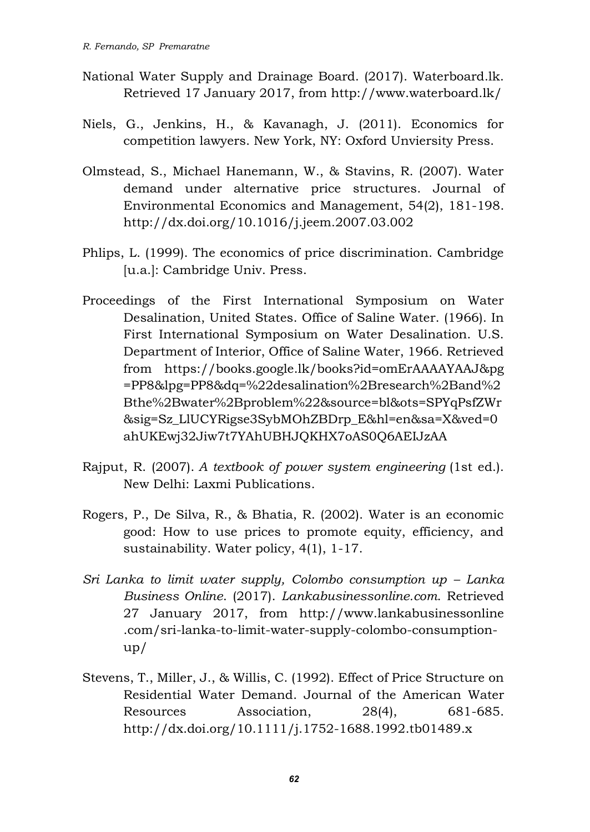- National Water Supply and Drainage Board. (2017). Waterboard.lk. Retrieved 17 January 2017, from http://www.waterboard.lk/
- Niels, G., Jenkins, H., & Kavanagh, J. (2011). Economics for competition lawyers. New York, NY: Oxford Unviersity Press.
- Olmstead, S., Michael Hanemann, W., & Stavins, R. (2007). Water demand under alternative price structures. Journal of Environmental Economics and Management, 54(2), 181-198. http://dx.doi.org/10.1016/j.jeem.2007.03.002
- Phlips, L. (1999). The economics of price discrimination. Cambridge [u.a.]: Cambridge Univ. Press.
- Proceedings of the First International Symposium on Water Desalination, United States. Office of Saline Water. (1966). In First International Symposium on Water Desalination. U.S. Department of Interior, Office of Saline Water, 1966. Retrieved from <https://books.google.lk/books?id=omErAAAAYAAJ&pg> =PP8&lpg=PP8&dq=%22desalination%2Bresearch%2Band%2 Bthe%2Bwater%2Bproblem%22&source=bl&ots=SPYqPsfZWr &sig=Sz\_LlUCYRigse3SybMOhZBDrp\_E&hl=en&sa=X&ved=0 ahUKEwj32Jiw7t7YAhUBHJQKHX7oAS0Q6AEIJzAA
- Rajput, R. (2007). *A textbook of power system engineering* (1st ed.). New Delhi: Laxmi Publications.
- Rogers, P., De Silva, R., & Bhatia, R. (2002). Water is an economic good: How to use prices to promote equity, efficiency, and sustainability. Water policy, 4(1), 1-17.
- *Sri Lanka to limit water supply, Colombo consumption up Lanka Business Online*. (2017). *Lankabusinessonline.com*. Retrieved 27 January 2017, from [http://www.lankabusinessonline](http://www.lankabusinessonline/) .com/sri-lanka-to-limit-water-supply-colombo-consumption $up/$
- Stevens, T., Miller, J., & Willis, C. (1992). Effect of Price Structure on Residential Water Demand. Journal of the American Water Resources Association, 28(4), 681-685. http://dx.doi.org/10.1111/j.1752-1688.1992.tb01489.x